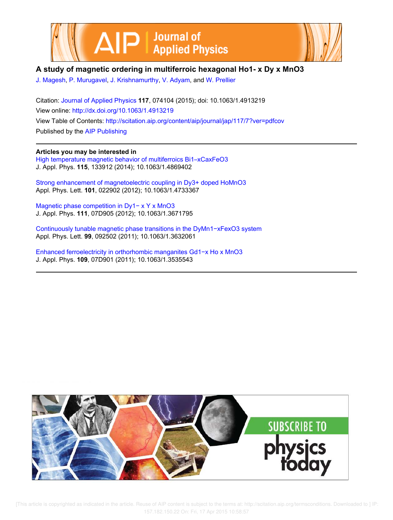



# **A study of magnetic ordering in multiferroic hexagonal Ho1- x Dy x MnO3**

J. Magesh, P. Murugavel, J. Krishnamurthy, V. Adyam, and W. Prellier

Citation: Journal of Applied Physics **117**, 074104 (2015); doi: 10.1063/1.4913219 View online: http://dx.doi.org/10.1063/1.4913219 View Table of Contents: http://scitation.aip.org/content/aip/journal/jap/117/7?ver=pdfcov Published by the AIP Publishing

# **Articles you may be interested in**

High temperature magnetic behavior of multiferroics Bi1–xCaxFeO3 J. Appl. Phys. **115**, 133912 (2014); 10.1063/1.4869402

Strong enhancement of magnetoelectric coupling in Dy3+ doped HoMnO3 Appl. Phys. Lett. **101**, 022902 (2012); 10.1063/1.4733367

Magnetic phase competition in Dy1− x Y x MnO3 J. Appl. Phys. **111**, 07D905 (2012); 10.1063/1.3671795

Continuously tunable magnetic phase transitions in the DyMn1−xFexO3 system Appl. Phys. Lett. **99**, 092502 (2011); 10.1063/1.3632061

Enhanced ferroelectricity in orthorhombic manganites Gd1−x Ho x MnO3 J. Appl. Phys. **109**, 07D901 (2011); 10.1063/1.3535543



 [This article is copyrighted as indicated in the article. Reuse of AIP content is subject to the terms at: http://scitation.aip.org/termsconditions. Downloaded to ] IP: 157.182.150.22 On: Fri, 17 Apr 2015 10:58:57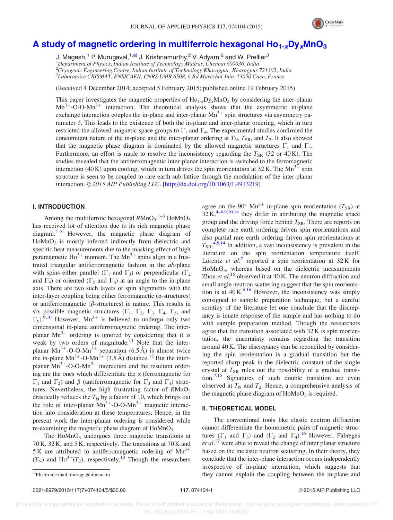

# A study of magnetic ordering in multiferroic hexagonal  $\text{Ho}_{1-x}\text{Dy}_x\text{MnO}_3$

J. Magesh,<sup>1</sup> P. Murugavel,<sup>1,a)</sup> J. Krishnamurthy,<sup>2</sup> V. Adyam,<sup>2</sup> and W. Prellier<sup>3</sup>

 $1$ Department of Physics, Indian Institute of Technology Madras, Chennai 600036, India

 $^{2}C$ ryogenic Engineering Centre, Indian Institute of Technology Kharagpur, Kharagpur 721302, India

<sup>3</sup>Laboratoire CRISMAT, ENSICAEN, CNRS UMR 6508, 6 Bd Maréchal Juin, 14050 Caen, France

(Received 4 December 2014; accepted 5 February 2015; published online 19 February 2015)

This paper investigates the magnetic properties of  $Ho_{1-x}D_{y}MnO_3$  by considering the inter-planar  $Mn^{3+}$ -O-O-Mn<sup>3+</sup> interaction. The theoretical analysis shows that the asymmetric in-plane exchange interaction couples the in-plane and inter-planar  $Mn^{3+}$  spin structures via asymmetry parameter  $\delta$ . This leads to the existence of both the in-plane and inter-planar ordering, which in turn restricted the allowed magnetic space groups to  $\Gamma_1$  and  $\Gamma_4$ . The experimental studies confirmed the concomitant nature of the in-plane and the inter-planar ordering at  $T_N$ ,  $T_{SR}$ , and  $T_2$ . It also showed that the magnetic phase diagram is dominated by the allowed magnetic structures  $\Gamma_1$  and  $\Gamma_4$ . Furthermore, an effort is made to resolve the inconsistency regarding the  $T_{SR}$  (32 or 40 K). The studies revealed that the antiferromagnetic inter-planar interaction is switched to the ferromagnetic interaction (40 K) upon cooling, which in turn drives the spin reorientation at 32 K. The Mn<sup>3+</sup> spin structure is seen to be coupled to rare earth sub-lattice through the modulation of the inter-planar interaction. © 2015 AIP Publishing LLC. [http://dx.doi.org/10.1063/1.4913219]

#### I. INTRODUCTION

Among the multiferroic hexagonal  $R M nO<sub>3</sub>$ ,  $^{1-3}$  HoMnO<sub>3</sub> has received lot of attention due to its rich magnetic phase diagram. $4-8$  However, the magnetic phase diagram of  $H \circ MnO<sub>3</sub>$  is mostly inferred indirectly from dielectric and specific heat measurements due to the masking effect of high paramagnetic  $\text{Ho}^{3+}$  moment. The  $\text{Mn}^{3+}$  spins align in a frustrated triangular antiferromagnetic fashion in the ab-plane with spins either parallel ( $\Gamma_1$  and  $\Gamma_3$ ) or perpendicular ( $\Gamma_2$ ) and  $\Gamma_4$ ) or oriented ( $\Gamma_5$  and  $\Gamma_6$ ) at an angle to the in-plane axis. There are two such layers of spin alignments with the inter-layer coupling being either ferromagnetic  $(\alpha$ -structures) or antiferromagnetic ( $\beta$ -structures) in nature. This results in six possible magnetic structures  $(\Gamma_1, \Gamma_2, \Gamma_3, \Gamma_4, \Gamma_5, \text{ and})$  $\Gamma_6$ ).<sup>9,10</sup> However, Mn<sup>3+</sup> is believed to undergo only two dimensional in-plane antiferromagnetic ordering. The interplanar  $Mn^{3+}$  ordering is ignored by considering that it is weak by two orders of magnitude.<sup>11</sup> Note that the interplanar  $Mn^{3+}$ -O-O-M $n^{3+}$  separation (6.5 Å) is almost twice the in-plane  $Mn^{3+}$ -O-M $n^{3+}$  (3.5 Å) distance.<sup>12</sup> But the interplanar  $Mn^{3+}$ -O-O-M $n^{3+}$  interaction and the resultant ordering are the ones which differentiate the  $\alpha$  (ferromagnetic for  $\Gamma_1$  and  $\Gamma_2$ ) and  $\beta$  (antiferromagnetic for  $\Gamma_3$  and  $\Gamma_4$ ) structures. Nevertheless, the high frustrating factor of  $R M nO<sub>3</sub>$ drastically reduces the  $T_N$  by a factor of 10, which brings out the role of inter-planar  $Mn^{3+}$ -O-O-M $n^{3+}$  magnetic interaction into consideration at these temperatures. Hence, in the present work the inter-planar ordering is considered while re-examining the magnetic phase diagram of  $HoMnO<sub>3</sub>$ .

The  $H \circ MnO_3$  undergoes three magnetic transitions at 70 K, 32 K, and 5 K, respectively. The transitions at 70 K and 5 K are attributed to antiferromagnetic ordering of  $Mn^{3+}$  $(T<sub>N</sub>)$  and Ho<sup>3+</sup> $(T<sub>2</sub>)$ , respectively.<sup>13</sup> Though the researchers

agree on the 90° Mn<sup>3+</sup> in-plane spin reorientation ( $T_{SR}$ ) at  $32$  K,<sup>4–6,9,10,14</sup> they differ in attributing the magnetic space group and the driving force behind  $T_{SR}$ . There are reports on complete rare earth ordering driven spin reorientations and also partial rare earth ordering driven spin reorientations at  $T_{\text{SR}}$ ,  $4,5,14$  In addition, a vast inconsistency is prevalent in the literature on the spin reorientation temperature itself. Lorentz et  $al$ <sup>7</sup> reported a spin reorientation at  $32K$  for HoMnO<sub>3</sub>, whereas based on the dielectric measurements Zhou et  $al$ <sup>15</sup> observed it at 40 K. The neutron diffraction and small angle neutron scattering suggest that the spin reorientation is at  $40 \text{ K}$ .<sup>6,16</sup> However, the inconsistency was simply consigned to sample preparation technique, but a careful scrutiny of the literature let one conclude that the discrepancy is innate response of the sample and has nothing to do with sample preparation method. Though the researchers agree that the transition associated with 32 K is spin reorientation, the uncertainty remains regarding the transition around 40 K. The discrepancy can be reconciled by considering the spin reorientation is a gradual transition but the reported sharp peak in the dielectric constant of the single crystal at  $T_{SR}$  rules out the possibility of a gradual transition.7,15 Signatures of such double transition are even observed at  $T_N$  and  $T_2$ . Hence, a comprehensive analysis of the magnetic phase diagram of  $H \circ MnO_3$  is required.

#### II. THEORETICAL MODEL

The conventional tools like elastic neutron diffraction cannot differentiate the homometric pairs of magnetic structures  $(\Gamma_1$  and  $\Gamma_3)$  and  $(\Gamma_2$  and  $\Gamma_4)$ .<sup>16</sup> However, Fabreges *et al.*<sup>17</sup> were able to reveal the change of inter planar structure based on the inelastic neutron scattering. In their theory, they conclude that the inter-plane interaction occurs independently irrespective of in-plane interaction, which suggests that a)Electronic mail: muruga@iitm.ac.in **they cannot** explain the coupling between the in-plane and a)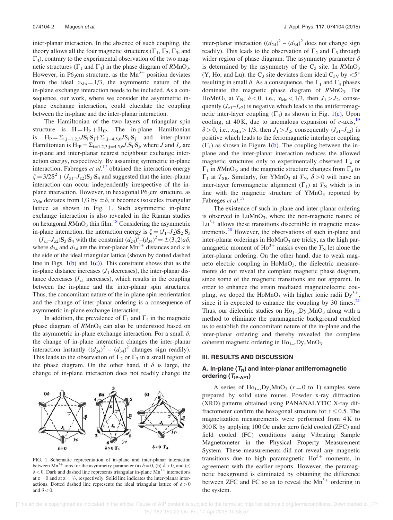inter-planar interaction. In the absence of such coupling, the theory allows all the four magnetic structures ( $\Gamma_1$ ,  $\Gamma_2$ ,  $\Gamma_3$ , and  $\Gamma_4$ ), contrary to the experimental observation of the two magnetic structures ( $\Gamma_1$  and  $\Gamma_4$ ) in the phase diagram of RMnO<sub>3</sub>. However, in P6<sub>3</sub>cm structure, as the  $Mn^{3+}$  position deviates from the ideal  $x_{\text{Mn}} = 1/3$ , the asymmetric nature of the in-plane exchange interaction needs to be included. As a consequence, our work, where we consider the asymmetric inplane exchange interaction, could elucidate the coupling between the in-plane and the inter-planar interaction.

The Hamiltonian of the two layers of triangular spin structure is  $H = H_P + H_{IP}$ . The in-plane Hamiltonian is  $H_P = \sum_{i,j=1,2,3} J S_i \cdot S_j + \sum_{i,j=4,5,6} J S_i \cdot S_j$  and inter-planar Hamiltonian is  $H_{IP} = \sum_{i=1,2,3; j=4,5,6} J_z \mathbf{S}_i \cdot \mathbf{S}_j$ , where J and  $J_z$  are in-plane and inter-planar nearest neighbour exchange interaction energy, respectively. By assuming symmetric in-plane interaction, Fabreges et  $al$ .<sup>17</sup> obtained the interaction energy  $\xi = 3/2S^2 + (J_{z1} - J_{z2})S_3 \cdot S_4$  and suggested that the inter-planar interaction can occur independently irrespective of the inplane interaction. However, in hexagonal  $P6<sub>3</sub>cm$  structure, as  $x_{\text{Mn}}$  deviates from 1/3 by  $\pm \delta$ , it becomes isosceles triangular lattice as shown in Fig. 1. Such asymmetric in-plane exchange interaction is also revealed in the Raman studies on hexagonal  $R MnO<sub>3</sub>$  thin film.<sup>18</sup> Considering the asymmetric in-plane interaction, the interaction energy is  $\xi = (J_1-J_2)S_2 \cdot S_3$  $+(J_{z1}-J_{z2})S_3 \cdot S_4$  with the constraint  $(d_{24})^2 - (d_{34})^2 = \pm (3\sqrt{2})a\delta$ , where  $d_{24}$  and  $d_{34}$  are the inter-planar  $Mn^{3+}$  distances and a is the side of the ideal triangular lattice (shown by dotted dashed line in Figs.  $1(b)$  and  $1(c)$ ). This constraint shows that as the in-plane distance increases  $(J_1$  decreases), the inter-planar distance decreases  $(J_{z1}$  increases), which results in the coupling between the in-plane and the inter-planar spin structures. Thus, the concomitant nature of the in-plane spin reorientation and the change of inter-planar ordering is a consequence of asymmetric in-plane exchange interaction.

In addition, the prevalence of  $\Gamma_1$  and  $\Gamma_4$  in the magnetic phase diagram of  $R MnO<sub>3</sub>$  can also be understood based on the asymmetric in-plane exchange interaction. For a small  $\delta$ , the change of in-plane interaction changes the inter-planar interaction instantly  $((d_{24})^2 - (d_{34})^2$  changes sign readily). This leads to the observation of  $\Gamma_2$  or  $\Gamma_3$  in a small region of the phase diagram. On the other hand, if  $\delta$  is large, the change of in-plane interaction does not readily change the

# $\delta > 0$   $\Gamma_1$  $\delta < 0$   $\Gamma_4$  $\delta = 0$

FIG. 1. Schematic representation of in-plane and inter-planar interaction between Mn<sup>3+</sup> ions for the asymmetry parameter (a)  $\delta = 0$ , (b)  $\delta > 0$ , and (c)  $\delta$  < 0. Dark and dashed line represents triangular in-plane Mn<sup>3+</sup> interactions at  $z = 0$  and at  $z = \frac{1}{2}$ , respectively. Solid line indicates the inter-planar interactions. Dotted dashed line represents the ideal triangular lattice of  $\delta > 0$ and  $\delta$  < 0.

inter-planar interaction  $((d_{24})^2 - (d_{34})^2)$  does not change sign readily). This leads to the observation of  $\Gamma_2$  and  $\Gamma_3$  through wider region of phase diagram. The asymmetry parameter  $\delta$ is determined by the asymmetry of the  $C_3$  site. In  $R MnO_3$ (Y, Ho, and Lu), the C<sub>3</sub> site deviates from ideal C<sub>3V</sub> by  $\lt 5^\circ$ resulting in small  $\delta$ . As a consequence, the  $\Gamma_1$  and  $\Gamma_4$  phases dominate the magnetic phase diagram of  $R M n O<sub>3</sub>$ . For HoMnO<sub>3</sub> at  $T_N$ ,  $\delta$  < 0, i.e.,  $x_{Mn}$  < 1/3, then  $J_1 > J_2$ , consequently  $(J_{z1} - J_{z2})$  is negative which leads to the antiferromagnetic inter-layer coupling  $(\Gamma_4)$  as shown in Fig. 1(c). Upon cooling, at  $40 \text{ K}$ , due to anomalous expansion of c-axis,  $19$  $\delta$  > 0, i.e.,  $x_{\text{Mn}}$  > 1/3, then  $J_1 > J_2$ , consequently  $(J_{z1} - J_{z2})$  is positive which leads to the ferromagnetic interlayer coupling  $(\Gamma_1)$  as shown in Figure 1(b). The coupling between the inplane and the inter-planar interaction reduces the allowed magnetic structures only to experimentally observed  $\Gamma_4$  or  $\Gamma_1$  in RMnO<sub>3</sub>, and the magnetic structure changes from  $\Gamma_4$  to  $\Gamma_1$  at  $T_{SR}$ . Similarly, for YMnO<sub>3</sub> at  $T_N$ ,  $\delta > 0$  will have an inter-layer ferromagnetic alignment  $(\Gamma_1)$  at  $T_N$  which is in line with the magnetic structure of  $YMnO<sub>3</sub>$  reported by Fabreges et al.<sup>17</sup>

The existence of such in-plane and inter-planar ordering is observed in  $LuMnO<sub>3</sub>$ , where the non-magnetic nature of  $Lu^{3+}$  allows these transitions discernible in magnetic measurements.<sup>20</sup> However, the observations of such in-plane and inter-planar orderings in  $H \circ MnO_3$  are tricky, as the high paramagnetic moment of  $Ho^{3+}$  masks even the  $T_N$  let alone the inter-planar ordering. On the other hand, due to weak magneto electric coupling in  $H \circ MnO<sub>3</sub>$ , the dielectric measurements do not reveal the complete magnetic phase diagram, since some of the magnetic transitions are not apparent. In order to enhance the strain mediated magnetoelectric coupling, we doped the HoMnO<sub>3</sub> with higher ionic radii  $Dy^{3+}$ , since it is expected to enhance the coupling by 30 times. $21$ Thus, our dielectric studies on  $\text{Ho}_{1-x}\text{Dy}_x\text{MnO}_3$  along with a method to eliminate the paramagnetic background enabled us to establish the concomitant nature of the in-plane and the inter-planar ordering and thereby revealed the complete coherent magnetic ordering in  $\text{Ho}_{1-x}\text{Dy}_x\text{MnO}_3$ .

#### III. RESULTS AND DISCUSSION

### A. In-plane  $(T_N)$  and inter-planar antiferromagnetic ordering  $(T_{IP-AF1})$

A series of  $\text{Ho}_{1-x}\text{Dy}_x\text{MnO}_3$  ( $x = 0$  to 1) samples were prepared by solid state routes. Powder x-ray diffraction (XRD) patterns obtained using PANANALYTIC X-ray diffractometer confirm the hexagonal structure for  $x \le 0.5$ . The magnetization measurements were performed from 4 K to 300 K by applying 100 Oe under zero field cooled (ZFC) and field cooled (FC) conditions using Vibrating Sample Magnetometer in the Physical Property Measurement System. These measurements did not reveal any magnetic transitions due to high paramagnetic  $\text{Ho}^{3+}$  moments, in agreement with the earlier reports. However, the paramagnetic background is eliminated by obtaining the difference between ZFC and FC so as to reveal the  $Mn^{3+}$  ordering in the system.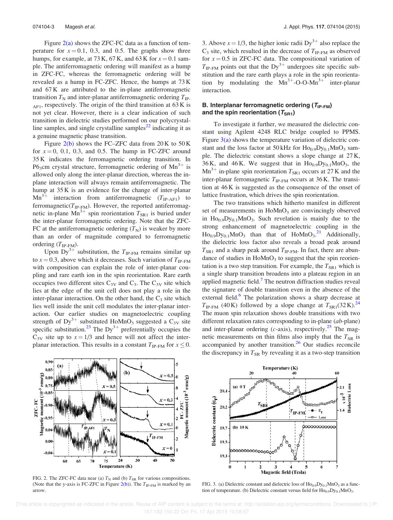Figure  $2(a)$  shows the ZFC-FC data as a function of temperature for  $x = 0.1$ , 0.3, and 0.5. The graphs show three humps, for example, at 73 K, 67 K, and 63 K for  $x = 0.1$  sample. The antiferromagnetic ordering will manifest as a hump in ZFC-FC, whereas the ferromagnetic ordering will be revealed as a hump in FC-ZFC. Hence, the humps at 73 K and 67 K are attributed to the in-plane antiferromagnetic transition  $T_N$  and inter-planar antiferromagnetic ordering  $T_{IP}$ .  $_{\text{AF1}}$ , respectively. The origin of the third transition at 63 K is not yet clear. However, there is a clear indication of such transition in dielectric studies performed on our polycrystalline samples, and single crystalline samples<sup> $22$ </sup> indicating it as a genuine magnetic phase transition.

Figure  $2(b)$  shows the FC–ZFC data from  $20K$  to  $50K$ for  $x = 0$ , 0.1, 0.3, and 0.5. The hump in FC-ZFC around 35 K indicates the ferromagnetic ordering transition. In P6<sub>3</sub>cm crystal structure, ferromagnetic ordering of  $Mn^{3+}$  is allowed only along the inter-planar direction, whereas the inplane interaction will always remain antiferromagnetic. The hump at 35 K is an evidence for the change of inter-planar  $\text{Mn}^{3+}$  interaction from antiferromagnetic  $(T_{\text{IP-AF1}})$  to ferromagnetic( $T_{IP\text{-}FM}$ ). However, the reported antiferromagnetic in-plane  $\text{Mn}^{3+}$  spin reorientation  $T_{\text{SR1}}$  is buried under the inter-planar ferromagnetic ordering. Note that the ZFC-FC at the antiferromagnetic ordering  $(T_N)$  is weaker by more than an order of magnitude compared to ferromagnetic ordering  $(T_{IP-FM})$ .

Upon  $\overline{Dy}^{3+}$  substitution, the  $T_{IP\text{-}FM}$  remains similar up to  $x = 0.3$ , above which it decreases. Such variation of  $T_{\text{IP-FM}}$ with composition can explain the role of inter-planar coupling and rare earth ion in the spin reorientation. Rare earth occupies two different sites  $C_{3V}$  and  $C_3$ . The  $C_{3V}$  site which lies at the edge of the unit cell does not play a role in the inter-planar interaction. On the other hand, the  $C_3$  site which lies well inside the unit cell modulates the inter-planar interaction. Our earlier studies on magnetoelectric coupling strength of  $Dy^{3+}$  substituted HoMnO<sub>3</sub> suggested a C<sub>3V</sub> site specific substitution.<sup>23</sup> The Dy<sup>3+</sup> preferentially occupies the  $C_{3V}$  site up to  $x = 1/3$  and hence will not affect the interplanar interaction. This results in a constant  $T_{\text{IP-FM}}$  for  $x \leq 0$ .

3. Above  $x = 1/3$ , the higher ionic radii Dy<sup>3+</sup> also replace the  $C_3$  site, which resulted in the decrease of  $T_{IP-FM}$  as observed for  $x = 0.5$  in ZFC-FC data. The compositional variation of  $T_{\text{IP-FM}}$  points out that the Dy<sup>3+</sup> undergoes site specific substitution and the rare earth plays a role in the spin reorientation by modulating the  $Mn^{3+}$ -O-O-M $n^{3+}$  inter-planar interaction.

## B. Interplanar ferromagnetic ordering  $(T_{IP-FM})$ and the spin reorientation  $(T_{\text{SRI}})$

To investigate it further, we measured the dielectric constant using Agilent 4248 RLC bridge coupled to PPMS. Figure  $3(a)$  shows the temperature variation of dielectric constant and the loss factor at  $50\,\text{kHz}$  for  $\text{Ho}_{0.9}\text{Dy}_{0.1}\text{MnO}_3$  sample. The dielectric constant shows a slope change at 27 K, 36 K, and 46 K. We suggest that in  $Ho<sub>0.9</sub>Dy<sub>0.1</sub>MnO<sub>3</sub>$ , the  $Mn^{3+}$  in-plane spin reorientation  $T_{SR1}$  occurs at 27 K and the inter-planar ferromagnetic  $T_{IP\text{-}FM}$  occurs at 36 K. The transition at 46 K is suggested as the consequence of the onset of lattice frustration, which drives the spin reorientation.

The two transitions which hitherto manifest in different set of measurements in  $H \circ MnO<sub>3</sub>$  are convincingly observed in  $Ho<sub>0.9</sub>Dy<sub>0.1</sub>MnO<sub>3</sub>$ . Such revelation is mainly due to the strong enhancement of magnetoelectric coupling in the  $\text{Ho}_{0.9} \text{Dy}_{0.1} \text{MnO}_3$  than that of  $\text{HoMnO}_3$ .<sup>21</sup> Additionally, the dielectric loss factor also reveals a broad peak around  $T_{\text{SR1}}$  and a sharp peak around  $T_{\text{IP-FM}}$ . In fact, there are abundance of studies in  $H \circ MnO_3$  to suggest that the spin reorientation is a two step transition. For example, the  $T_{SR1}$  which is a single sharp transition broadens into a plateau region in an applied magnetic field.<sup>7</sup> The neutron diffraction studies reveal the signature of double transition even in the absence of the external field.<sup>6</sup> The polarization shows a sharp decrease at  $T_{\text{IP-FM}}$  (40 K) followed by a slope change at  $T_{\text{SR1}}(32 \text{ K})^{24}$ The muon spin relaxation shows double transitions with two different relaxation rates corresponding to in-plane (*ab-*plane) and inter-planar ordering ( $c$ -axis), respectively.<sup>25</sup> The magnetic measurements on thin films also imply that the  $T_{SR}$  is accompanied by another transition.<sup>26</sup> Our studies reconcile the discrepancy in  $T_{SR}$  by revealing it as a two-step transition



FIG. 2. The ZFC-FC data near (a)  $T_N$  and (b)  $T_{SR}$  for various compositions. (Note that the y-axis is FC-ZFC in Figure  $2(b)$ ). The  $T_{IP\text{-}FM}$  is marked by an arrow.



FIG. 3. (a) Dielectric constant and dielectric loss of  $Ho<sub>0.9</sub>Dy<sub>0.1</sub>MnO<sub>3</sub>$  as a function of temperature. (b) Dielectric constant versus field for  $Ho<sub>0.9</sub>Dy<sub>0.1</sub>MnO<sub>3</sub>$ .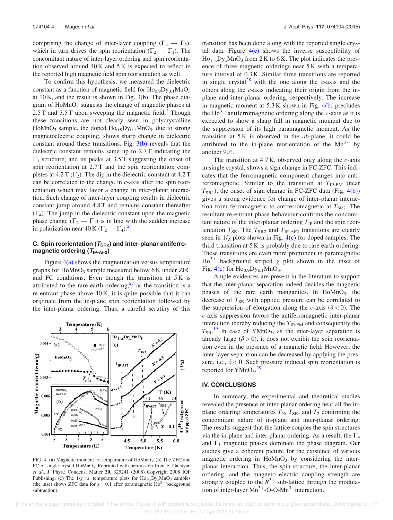comprising the change of inter-layer coupling  $(\Gamma_4 \rightarrow \Gamma_2)$ , which in turn drives the spin reorientation ( $\overline{\Gamma_2} \rightarrow \Gamma_1$ ). The concomitant nature of inter-layer ordering and spin reorientation observed around  $40K$  and  $5K$  is expected to reflect in the reported high magnetic field spin reorientation as well.

To confirm this hypothesis, we measured the dielectric constant as a function of magnetic field for  $Ho_{0.9}Dy_{0.1}MnO_3$ at  $10 \text{ K}$ , and the result is shown in Fig.  $3(b)$ . The phase diagram of  $H \circ MnO_3$  suggests the change of magnetic phases at 2.5 T and 3.5 T upon sweeping the magnetic field.<sup>7</sup> Though these transitions are not clearly seen in polycrystalline  $HoMnO<sub>3</sub>$  sample, the doped  $Ho<sub>0.9</sub>Dy<sub>0.1</sub>MnO<sub>3</sub>$ , due to strong magnetoelectric coupling, shows sharp change in dielectric constant around these transitions. Fig.  $3(b)$  reveals that the dielectric constant remains same up to 2.7 T indicating the  $\Gamma_1$  structure, and its peaks at 3.5 T suggesting the onset of spin reorientation at 2.7 T and the spin reorientation completes at 4.2 T  $(\Gamma_2)$ . The dip in the dielectric constant at 4.2 T can be correlated to the change in  $c$ -axis after the spin reorientation which may favor a change in inter-planar interaction. Such change of inter-layer coupling results in dielectric constant jump around 4.8 T and remains constant thereafter  $(\Gamma_4)$ . The jump in the dielectric constant upon the magnetic phase change  $(\Gamma_2 \rightarrow \Gamma_4)$  is in line with the sudden increase in polarization near 40 K ( $\Gamma_2 \rightarrow \Gamma_4$ ).<sup>24</sup>

## C. Spin reorientation ( $T_{SR2}$ ) and inter-planar antiferromagnetic ordering  $(T_{IP-AF2})$

Figure  $4(a)$  shows the magnetization versus temperature graphs for  $H_0MnO_3$  sample measured below 6 K under ZFC and FC conditions. Even though the transition at 5 K is attributed to the rare earth ordering,  $27$  as the transition is a re-entrant phase above 40 K, it is quite possible that it can originate from the in-plane spin reorientation followed by the inter-planar ordering. Thus, a careful scrutiny of this



FIG. 4. (a) Magnetic moment vs. temperature of HoMnO<sub>3</sub>. (b) The ZFC and FC of single crystal HoMnO<sub>3</sub>. Reprinted with permission from E. Galstyan et al., J. Phys.: Condens. Matter 20, 325241 (2008) Copyright 2008 IOP Publishing. (c) The  $1/\chi$  vs. temperature plots for  $\text{Ho}_{1-x}\text{Dy}_x\text{MnO}_3$  samples (the inset shows ZFC data for  $x = 0.1$  after paramagnetic  $\text{Ho}^{3+}$  background subtraction).

transition has been done along with the reported single crystal data. Figure  $4(c)$  shows the inverse susceptibility of  $Ho_{1-x}Dy_xMnO_3$  from 2 K to 6 K. The plot indicates the presence of three magnetic orderings near 5 K with a temperature interval of 0.3 K. Similar three transitions are reported in single crystal<sup>28</sup> with the one along the *a*-axis and the others along the c-axis indicating their origin from the inplane and inter-planar ordering, respectively. The increase in magnetic moment at 5.3 K shown in Fig. 4(b) precludes the  $Ho^{3+}$  antiferromagnetic ordering along the c-axis as it is expected to show a sharp fall in magnetic moment due to the suppression of its high paramagnetic moment. As the transition at 5 K is observed in the ab-plane, it could be attributed to the in-plane reorientation of the  $Mn^{3+}$  by another 90°.

The transition at  $4.7$  K, observed only along the  $c$ -axis in single crystal, shows a sign change in FC-ZFC. This indicates that the ferromagnetic component changes into antiferromagnetic. Similar to the transition at  $T_{IP-FM}$  (near  $T<sub>SR1</sub>$ ), the onset of sign change in FC-ZFC data (Fig. 4(b)) gives a strong evidence for change of inter-planar interaction from ferromagnetic to antiferromagnetic at  $T_{SR2}$ . The resultant re-entrant phase behaviour confirms the concomitant nature of the inter-planar ordering  $T_{IP}$  and the spin reorientation  $T_{SR}$ . The  $T_{SR2}$  and  $T_{IP-AF2}$  transitions are clearly seen in  $1/\chi$  plots shown in Fig. 4(c) for doped samples. The third transition at 5 K is probably due to rare earth ordering. These transitions are even more prominent in paramagnetic  $Ho^{3+}$  background striped  $\chi$  plot shown in the inset of Fig.  $4(c)$  for  $Ho<sub>0.9</sub>Dy<sub>0.1</sub>MnO<sub>3</sub>$ .

Ample evidences are present in the literature to support that the inter-planar separation indeed decides the magnetic phases of the rare earth manganites. In  $H \circ MnO_3$ , the decrease of  $T_{SR}$  with applied pressure can be correlated to the suppression of elongation along the c-axis ( $\delta$  < 0). The c-axis suppression favors the antiferromagnetic inter-planar interaction thereby reducing the  $T_{IP\text{-}FM}$  and consequently the  $T_{\rm SR}$ .<sup>19</sup> In case of YMnO<sub>3</sub>, as the inter-layer separation is already large ( $\delta > 0$ ), it does not exhibit the spin reorientation even in the presence of a magnetic field. However, the inter-layer separation can be decreased by applying the pressure, i.e.,  $\delta$  < 0. Such pressure induced spin reorientation is reported for  $YMnO<sub>3</sub>$ .<sup>29</sup>

### IV. CONCLUSIONS

In summary, the experimental and theoretical studies revealed the presence of inter-planar ordering near all the inplane ordering temperatures  $T_N$ ,  $T_{SR}$ , and  $T_2$  confirming the concomitant nature of in-plane and inter-planar ordering. The results suggest that the lattice couples the spin structures via the in-plane and inter-planar ordering. As a result, the  $\Gamma_4$ and  $\Gamma_1$  magnetic phases dominate the phase diagram. Our studies give a coherent picture for the existence of various magnetic ordering in  $H \circ MnO_3$  by considering the interplanar interaction. Thus, the spin structure, the inter-planar ordering, and the magneto electric coupling strength are strongly coupled to the  $R^{3+}$  sub-lattice through the modulation of inter-layer  $Mn^{3+}$ -O-O-M $n^{3+}$ interaction.